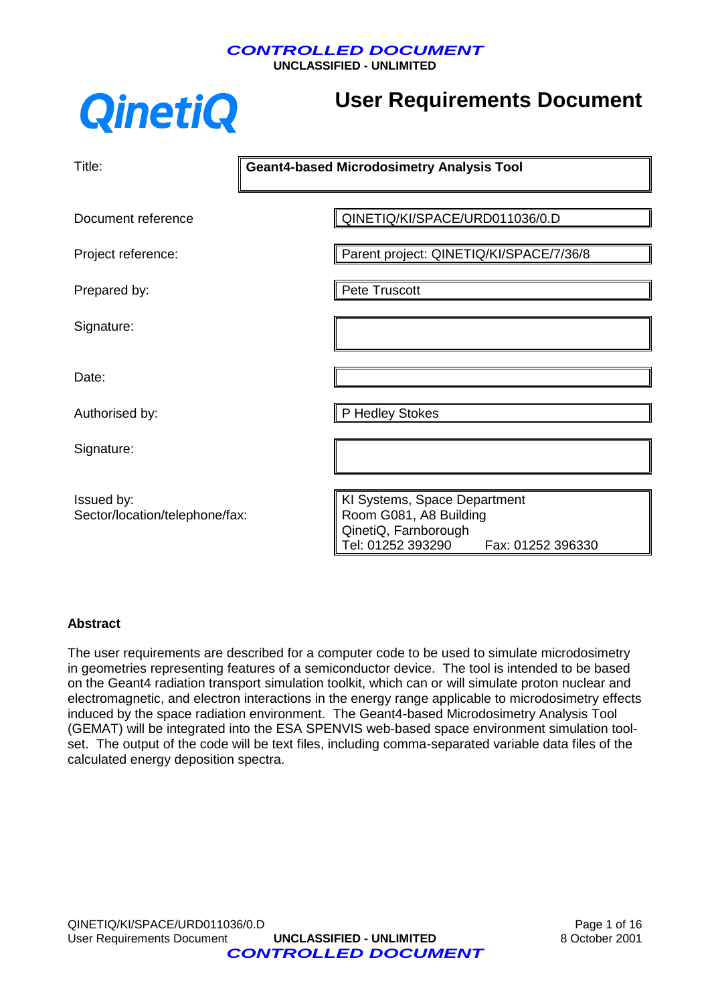**UNCLASSIFIED - UNLIMITED**

# **QinetiQ**

# **User Requirements Document**

| Title:                                       | <b>Geant4-based Microdosimetry Analysis Tool</b>                                                                         |
|----------------------------------------------|--------------------------------------------------------------------------------------------------------------------------|
| Document reference                           | QINETIQ/KI/SPACE/URD011036/0.D                                                                                           |
| Project reference:                           | Parent project: QINETIQ/KI/SPACE/7/36/8                                                                                  |
| Prepared by:                                 | Pete Truscott                                                                                                            |
| Signature:                                   |                                                                                                                          |
| Date:                                        |                                                                                                                          |
| Authorised by:                               | P Hedley Stokes                                                                                                          |
| Signature:                                   |                                                                                                                          |
| Issued by:<br>Sector/location/telephone/fax: | KI Systems, Space Department<br>Room G081, A8 Building<br>QinetiQ, Farnborough<br>Tel: 01252 393290<br>Fax: 01252 396330 |

#### **Abstract**

The user requirements are described for a computer code to be used to simulate microdosimetry in geometries representing features of a semiconductor device. The tool is intended to be based on the Geant4 radiation transport simulation toolkit, which can or will simulate proton nuclear and electromagnetic, and electron interactions in the energy range applicable to microdosimetry effects induced by the space radiation environment. The Geant4-based Microdosimetry Analysis Tool (GEMAT) will be integrated into the ESA SPENVIS web-based space environment simulation toolset. The output of the code will be text files, including comma-separated variable data files of the calculated energy deposition spectra.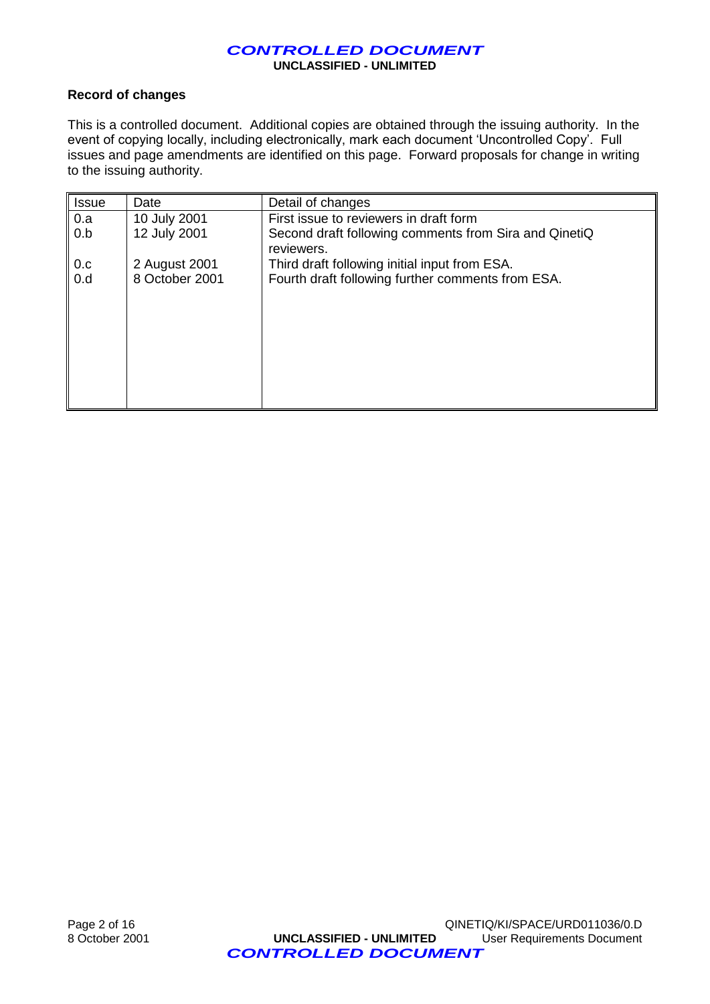#### **Record of changes**

 $\overline{a}$ 

This is a controlled document. Additional copies are obtained through the issuing authority. In the event of copying locally, including electronically, mark each document 'Uncontrolled Copy'. Full issues and page amendments are identified on this page. Forward proposals for change in writing to the issuing authority.

| <b>Issue</b> | Date           | Detail of changes                                     |
|--------------|----------------|-------------------------------------------------------|
| 0.a          | 10 July 2001   | First issue to reviewers in draft form                |
| 0.b          | 12 July 2001   | Second draft following comments from Sira and QinetiQ |
|              |                | reviewers.                                            |
| 0.c          | 2 August 2001  | Third draft following initial input from ESA.         |
| 0.d          | 8 October 2001 | Fourth draft following further comments from ESA.     |
|              |                |                                                       |
|              |                |                                                       |
|              |                |                                                       |
|              |                |                                                       |
|              |                |                                                       |
|              |                |                                                       |
|              |                |                                                       |
|              |                |                                                       |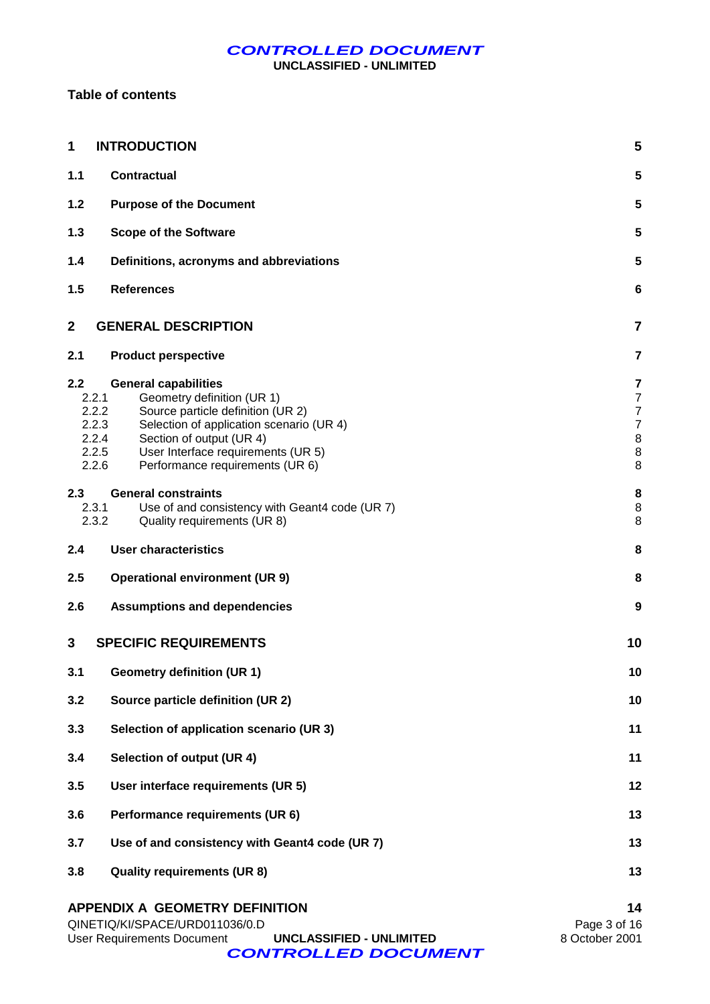**UNCLASSIFIED - UNLIMITED**

#### **Table of contents**

| 1                              | <b>INTRODUCTION</b>                                                                                                                                                                                                                                                        | 5                                                                      |
|--------------------------------|----------------------------------------------------------------------------------------------------------------------------------------------------------------------------------------------------------------------------------------------------------------------------|------------------------------------------------------------------------|
| 1.1                            | <b>Contractual</b>                                                                                                                                                                                                                                                         | 5                                                                      |
| $1.2$                          | <b>Purpose of the Document</b>                                                                                                                                                                                                                                             | 5                                                                      |
| 1.3                            | <b>Scope of the Software</b>                                                                                                                                                                                                                                               | 5                                                                      |
| 1.4                            | Definitions, acronyms and abbreviations                                                                                                                                                                                                                                    | 5                                                                      |
| 1.5                            | <b>References</b>                                                                                                                                                                                                                                                          | 6                                                                      |
| $\mathbf 2$                    | <b>GENERAL DESCRIPTION</b>                                                                                                                                                                                                                                                 | $\overline{7}$                                                         |
| 2.1                            | <b>Product perspective</b>                                                                                                                                                                                                                                                 | $\overline{7}$                                                         |
| 2.2<br>2.2.1<br>2.2.2<br>2.2.6 | <b>General capabilities</b><br>Geometry definition (UR 1)<br>Source particle definition (UR 2)<br>2.2.3<br>Selection of application scenario (UR 4)<br>2.2.4<br>Section of output (UR 4)<br>User Interface requirements (UR 5)<br>2.2.5<br>Performance requirements (UR 6) | 7<br>$\overline{7}$<br>$\overline{7}$<br>$\overline{7}$<br>8<br>8<br>8 |
| 2.3<br>2.3.1<br>2.3.2          | <b>General constraints</b><br>Use of and consistency with Geant4 code (UR 7)<br>Quality requirements (UR 8)                                                                                                                                                                | 8<br>8<br>8                                                            |
| 2.4                            | <b>User characteristics</b>                                                                                                                                                                                                                                                | 8                                                                      |
| 2.5                            | <b>Operational environment (UR 9)</b>                                                                                                                                                                                                                                      | 8                                                                      |
| 2.6                            | <b>Assumptions and dependencies</b>                                                                                                                                                                                                                                        | 9                                                                      |
| 3                              | <b>SPECIFIC REQUIREMENTS</b>                                                                                                                                                                                                                                               | 10                                                                     |
| 3.1                            | <b>Geometry definition (UR 1)</b>                                                                                                                                                                                                                                          | 10                                                                     |
| 3.2                            | Source particle definition (UR 2)                                                                                                                                                                                                                                          | 10                                                                     |
| 3.3                            | Selection of application scenario (UR 3)                                                                                                                                                                                                                                   | 11                                                                     |
| 3.4                            | Selection of output (UR 4)                                                                                                                                                                                                                                                 | 11                                                                     |
| 3.5                            | User interface requirements (UR 5)                                                                                                                                                                                                                                         | 12                                                                     |
| 3.6                            | Performance requirements (UR 6)                                                                                                                                                                                                                                            | 13                                                                     |
| 3.7                            | Use of and consistency with Geant4 code (UR 7)                                                                                                                                                                                                                             | 13                                                                     |
| 3.8                            | <b>Quality requirements (UR 8)</b>                                                                                                                                                                                                                                         | 13                                                                     |
|                                | APPENDIX A GEOMETRY DEFINITION                                                                                                                                                                                                                                             | 14                                                                     |

| QINETIQ/KI/SPACE/URD011036/0.D |                          | Page 3 of 16   |
|--------------------------------|--------------------------|----------------|
| User Requirements Document     | UNCLASSIFIED - UNLIMITED | 8 October 2001 |
| <b>CONTROLLED DOCUMENT</b>     |                          |                |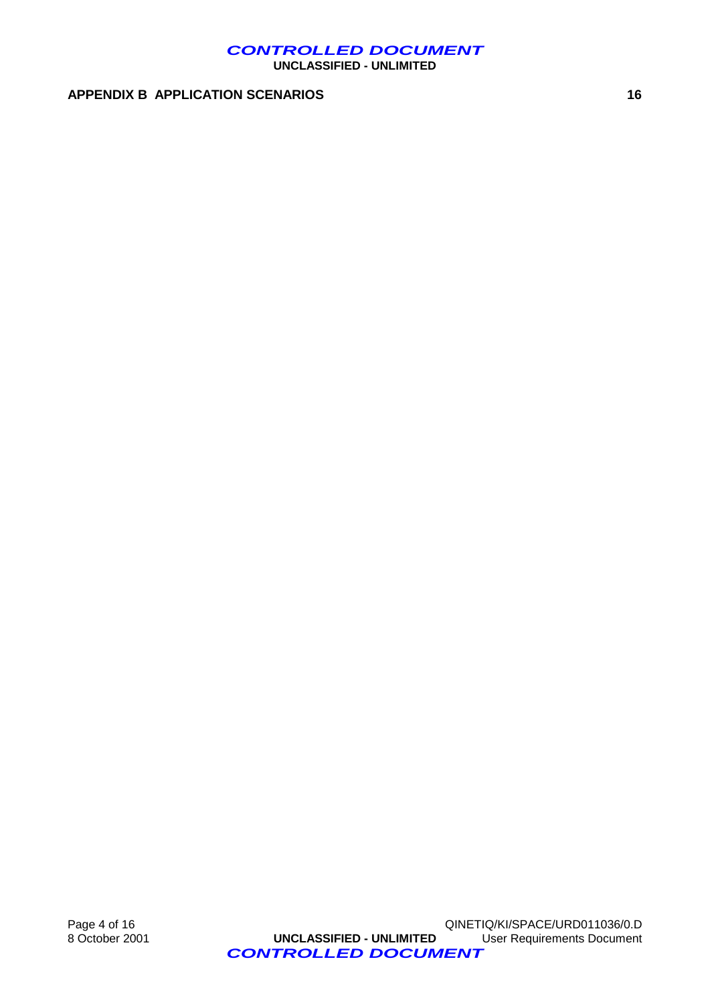**UNCLASSIFIED - UNLIMITED**

#### **APPENDIX B APPLICATION SCENARIOS 16**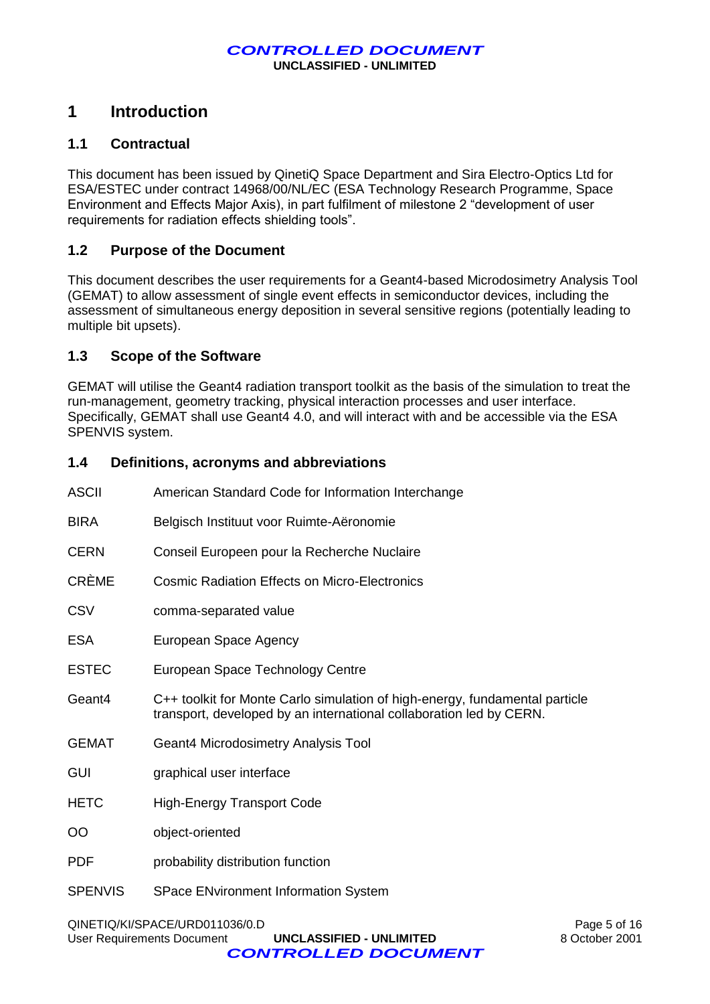## **1 Introduction**

#### **1.1 Contractual**

This document has been issued by QinetiQ Space Department and Sira Electro-Optics Ltd for ESA/ESTEC under contract 14968/00/NL/EC (ESA Technology Research Programme, Space Environment and Effects Major Axis), in part fulfilment of milestone 2 "development of user requirements for radiation effects shielding tools".

#### **1.2 Purpose of the Document**

This document describes the user requirements for a Geant4-based Microdosimetry Analysis Tool (GEMAT) to allow assessment of single event effects in semiconductor devices, including the assessment of simultaneous energy deposition in several sensitive regions (potentially leading to multiple bit upsets).

#### **1.3 Scope of the Software**

GEMAT will utilise the Geant4 radiation transport toolkit as the basis of the simulation to treat the run-management, geometry tracking, physical interaction processes and user interface. Specifically, GEMAT shall use Geant4 4.0, and will interact with and be accessible via the ESA SPENVIS system.

#### **1.4 Definitions, acronyms and abbreviations**

| <b>ASCII</b>   | American Standard Code for Information Interchange                                                                                                 |
|----------------|----------------------------------------------------------------------------------------------------------------------------------------------------|
| <b>BIRA</b>    | Belgisch Instituut voor Ruimte-Aëronomie                                                                                                           |
| <b>CERN</b>    | Conseil Europeen pour la Recherche Nuclaire                                                                                                        |
| <b>CRÈME</b>   | <b>Cosmic Radiation Effects on Micro-Electronics</b>                                                                                               |
| <b>CSV</b>     | comma-separated value                                                                                                                              |
| <b>ESA</b>     | European Space Agency                                                                                                                              |
| <b>ESTEC</b>   | European Space Technology Centre                                                                                                                   |
| Geant4         | C++ toolkit for Monte Carlo simulation of high-energy, fundamental particle<br>transport, developed by an international collaboration led by CERN. |
| <b>GEMAT</b>   | Geant4 Microdosimetry Analysis Tool                                                                                                                |
| <b>GUI</b>     | graphical user interface                                                                                                                           |
| <b>HETC</b>    | <b>High-Energy Transport Code</b>                                                                                                                  |
| <b>OO</b>      | object-oriented                                                                                                                                    |
| <b>PDF</b>     | probability distribution function                                                                                                                  |
| <b>SPENVIS</b> | <b>SPace ENvironment Information System</b>                                                                                                        |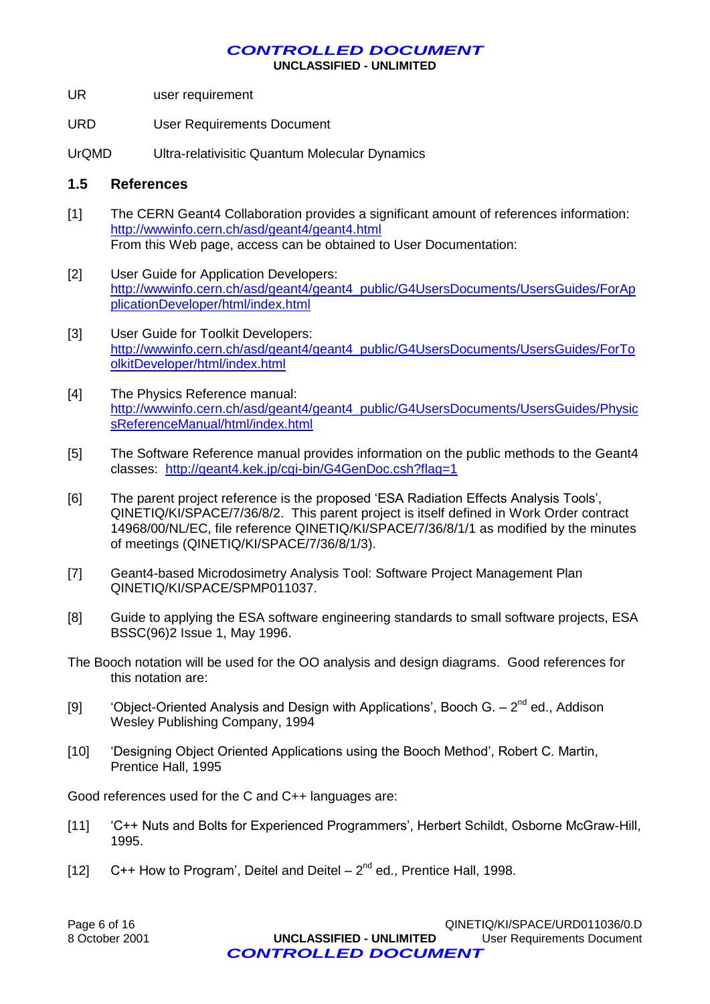**UNCLASSIFIED - UNLIMITED**

- UR user requirement
- URD User Requirements Document
- UrQMD Ultra-relativisitic Quantum Molecular Dynamics

#### **1.5 References**

- [1] The CERN Geant4 Collaboration provides a significant amount of references information: <http://wwwinfo.cern.ch/asd/geant4/geant4.html> From this Web page, access can be obtained to User Documentation:
- [2] User Guide for Application Developers: [http://wwwinfo.cern.ch/asd/geant4/geant4\\_public/G4UsersDocuments/UsersGuides/ForAp](http://wwwinfo.cern.ch/asd/geant/geant4_public/G4UsersDocuments/UsersGuides/ForApplicationDeveloper/html/index.html) [plicationDeveloper/html/index.html](http://wwwinfo.cern.ch/asd/geant/geant4_public/G4UsersDocuments/UsersGuides/ForApplicationDeveloper/html/index.html)
- [3] User Guide for Toolkit Developers: [http://wwwinfo.cern.ch/asd/geant4/geant4\\_public/G4UsersDocuments/UsersGuides/ForTo](http://wwwinfo.cern.ch/asd/geant/geant4_public/G4UsersDocuments/UsersGuides/ForToolkitDeveloper/html/index.html) [olkitDeveloper/html/index.html](http://wwwinfo.cern.ch/asd/geant/geant4_public/G4UsersDocuments/UsersGuides/ForToolkitDeveloper/html/index.html)
- [4] The Physics Reference manual: [http://wwwinfo.cern.ch/asd/geant4/geant4\\_public/G4UsersDocuments/UsersGuides/Physic](http://wwwinfo.cern.ch/asd/geant/geant4_public/G4UsersDocuments/UsersGuides/PhysicsReferenceManual/html/index.html) [sReferenceManual/html/index.html](http://wwwinfo.cern.ch/asd/geant/geant4_public/G4UsersDocuments/UsersGuides/PhysicsReferenceManual/html/index.html)
- [5] The Software Reference manual provides information on the public methods to the Geant4 classes: <http://geant4.kek.jp/cgi-bin/G4GenDoc.csh?flag=1>
- [6] The parent project reference is the proposed 'ESA Radiation Effects Analysis Tools', QINETIQ/KI/SPACE/7/36/8/2. This parent project is itself defined in Work Order contract 14968/00/NL/EC, file reference QINETIQ/KI/SPACE/7/36/8/1/1 as modified by the minutes of meetings (QINETIQ/KI/SPACE/7/36/8/1/3).
- [7] Geant4-based Microdosimetry Analysis Tool: Software Project Management Plan QINETIQ/KI/SPACE/SPMP011037.
- [8] Guide to applying the ESA software engineering standards to small software projects, ESA BSSC(96)2 Issue 1, May 1996.
- The Booch notation will be used for the OO analysis and design diagrams. Good references for this notation are:
- [9]  $'$ Object-Oriented Analysis and Design with Applications', Booch G.  $2<sup>nd</sup>$  ed., Addison Wesley Publishing Company, 1994
- [10] 'Designing Object Oriented Applications using the Booch Method', Robert C. Martin, Prentice Hall, 1995

Good references used for the C and C++ languages are:

- [11] 'C++ Nuts and Bolts for Experienced Programmers', Herbert Schildt, Osborne McGraw-Hill, 1995.
- [12]  $C++$  How to Program', Deitel and Deitel  $-2^{nd}$  ed., Prentice Hall, 1998.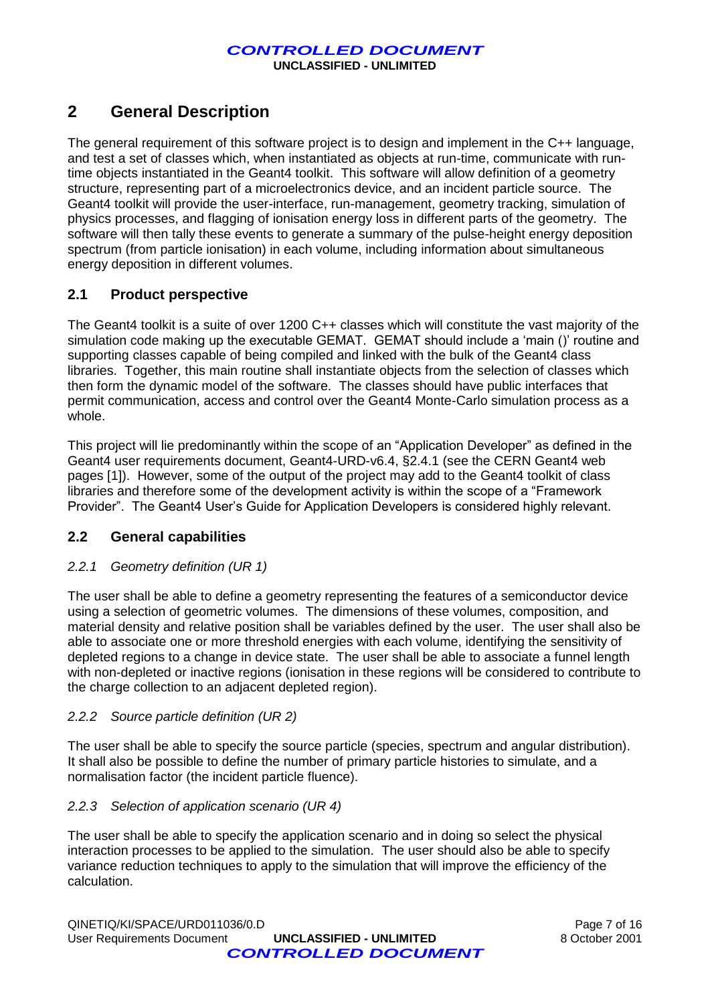## **2 General Description**

The general requirement of this software project is to design and implement in the C++ language, and test a set of classes which, when instantiated as objects at run-time, communicate with runtime objects instantiated in the Geant4 toolkit. This software will allow definition of a geometry structure, representing part of a microelectronics device, and an incident particle source. The Geant4 toolkit will provide the user-interface, run-management, geometry tracking, simulation of physics processes, and flagging of ionisation energy loss in different parts of the geometry. The software will then tally these events to generate a summary of the pulse-height energy deposition spectrum (from particle ionisation) in each volume, including information about simultaneous energy deposition in different volumes.

#### **2.1 Product perspective**

The Geant4 toolkit is a suite of over 1200 C++ classes which will constitute the vast majority of the simulation code making up the executable GEMAT. GEMAT should include a 'main ()' routine and supporting classes capable of being compiled and linked with the bulk of the Geant4 class libraries. Together, this main routine shall instantiate objects from the selection of classes which then form the dynamic model of the software. The classes should have public interfaces that permit communication, access and control over the Geant4 Monte-Carlo simulation process as a whole.

This project will lie predominantly within the scope of an "Application Developer" as defined in the Geant4 user requirements document, Geant4-URD-v6.4, §2.4.1 (see the CERN Geant4 web pages [1]). However, some of the output of the project may add to the Geant4 toolkit of class libraries and therefore some of the development activity is within the scope of a "Framework Provider". The Geant4 User's Guide for Application Developers is considered highly relevant.

#### **2.2 General capabilities**

#### *2.2.1 Geometry definition (UR 1)*

The user shall be able to define a geometry representing the features of a semiconductor device using a selection of geometric volumes. The dimensions of these volumes, composition, and material density and relative position shall be variables defined by the user. The user shall also be able to associate one or more threshold energies with each volume, identifying the sensitivity of depleted regions to a change in device state. The user shall be able to associate a funnel length with non-depleted or inactive regions (ionisation in these regions will be considered to contribute to the charge collection to an adjacent depleted region).

#### *2.2.2 Source particle definition (UR 2)*

The user shall be able to specify the source particle (species, spectrum and angular distribution). It shall also be possible to define the number of primary particle histories to simulate, and a normalisation factor (the incident particle fluence).

#### *2.2.3 Selection of application scenario (UR 4)*

The user shall be able to specify the application scenario and in doing so select the physical interaction processes to be applied to the simulation. The user should also be able to specify variance reduction techniques to apply to the simulation that will improve the efficiency of the calculation.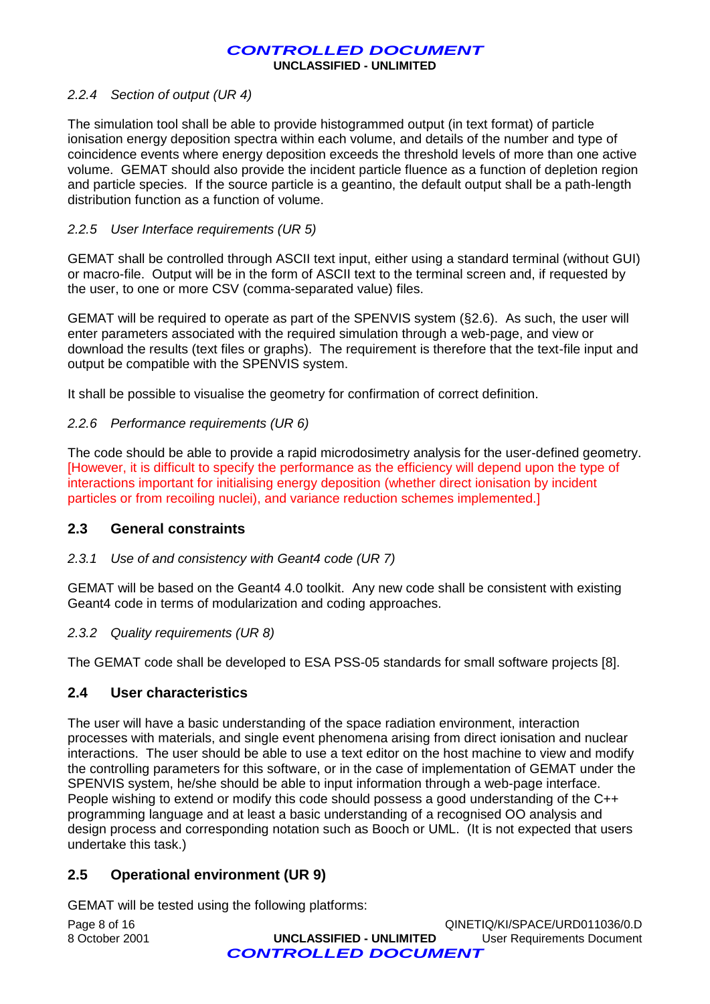#### *2.2.4 Section of output (UR 4)*

The simulation tool shall be able to provide histogrammed output (in text format) of particle ionisation energy deposition spectra within each volume, and details of the number and type of coincidence events where energy deposition exceeds the threshold levels of more than one active volume. GEMAT should also provide the incident particle fluence as a function of depletion region and particle species. If the source particle is a geantino, the default output shall be a path-length distribution function as a function of volume.

#### *2.2.5 User Interface requirements (UR 5)*

GEMAT shall be controlled through ASCII text input, either using a standard terminal (without GUI) or macro-file. Output will be in the form of ASCII text to the terminal screen and, if requested by the user, to one or more CSV (comma-separated value) files.

GEMAT will be required to operate as part of the SPENVIS system ([§2.6\)](#page-8-0). As such, the user will enter parameters associated with the required simulation through a web-page, and view or download the results (text files or graphs). The requirement is therefore that the text-file input and output be compatible with the SPENVIS system.

It shall be possible to visualise the geometry for confirmation of correct definition.

#### *2.2.6 Performance requirements (UR 6)*

The code should be able to provide a rapid microdosimetry analysis for the user-defined geometry. [However, it is difficult to specify the performance as the efficiency will depend upon the type of interactions important for initialising energy deposition (whether direct ionisation by incident particles or from recoiling nuclei), and variance reduction schemes implemented.]

#### **2.3 General constraints**

#### *2.3.1 Use of and consistency with Geant4 code (UR 7)*

GEMAT will be based on the Geant4 4.0 toolkit. Any new code shall be consistent with existing Geant4 code in terms of modularization and coding approaches.

#### *2.3.2 Quality requirements (UR 8)*

The GEMAT code shall be developed to ESA PSS-05 standards for small software projects [8].

#### **2.4 User characteristics**

The user will have a basic understanding of the space radiation environment, interaction processes with materials, and single event phenomena arising from direct ionisation and nuclear interactions. The user should be able to use a text editor on the host machine to view and modify the controlling parameters for this software, or in the case of implementation of GEMAT under the SPENVIS system, he/she should be able to input information through a web-page interface. People wishing to extend or modify this code should possess a good understanding of the C++ programming language and at least a basic understanding of a recognised OO analysis and design process and corresponding notation such as Booch or UML. (It is not expected that users undertake this task.)

#### **2.5 Operational environment (UR 9)**

GEMAT will be tested using the following platforms:

|                | <b>CONTROLLED DOCUMENT</b> |                                |
|----------------|----------------------------|--------------------------------|
| 8 October 2001 | UNCLASSIFIED - UNLIMITED   | User Requirements Document     |
| Page 8 of 16   |                            | QINETIQ/KI/SPACE/URD011036/0.D |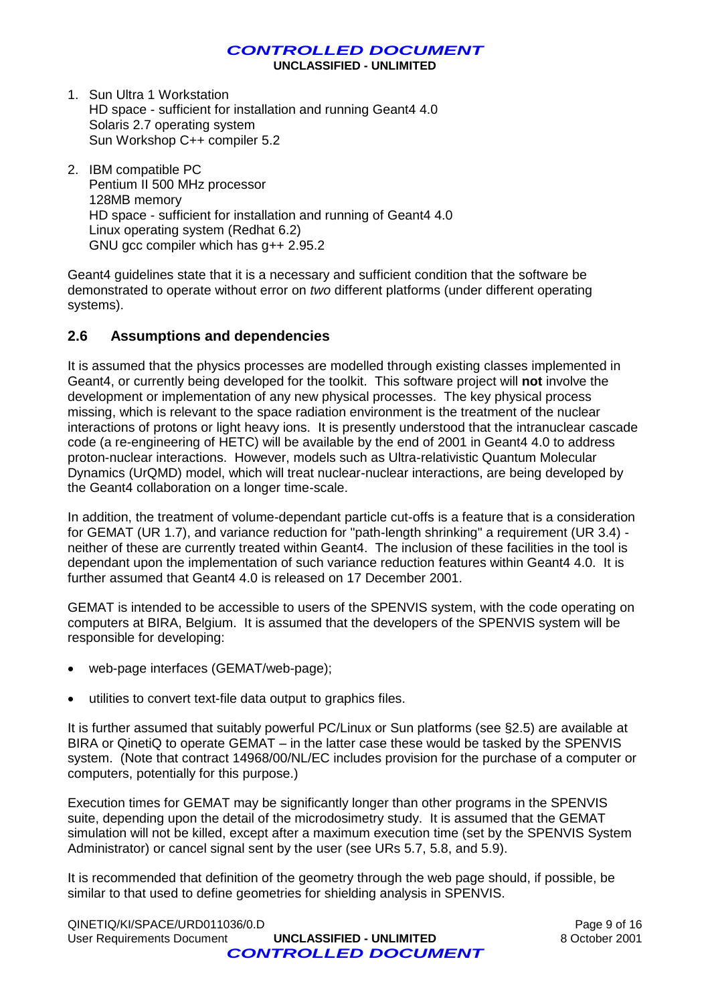**UNCLASSIFIED - UNLIMITED**

- 1. Sun Ultra 1 Workstation HD space - sufficient for installation and running Geant4 4.0 Solaris 2.7 operating system Sun Workshop C++ compiler 5.2
- 2. IBM compatible PC Pentium II 500 MHz processor 128MB memory HD space - sufficient for installation and running of Geant4 4.0 Linux operating system (Redhat 6.2) GNU gcc compiler which has g++ 2.95.2

Geant4 guidelines state that it is a necessary and sufficient condition that the software be demonstrated to operate without error on *two* different platforms (under different operating systems).

#### <span id="page-8-0"></span>**2.6 Assumptions and dependencies**

It is assumed that the physics processes are modelled through existing classes implemented in Geant4, or currently being developed for the toolkit. This software project will **not** involve the development or implementation of any new physical processes. The key physical process missing, which is relevant to the space radiation environment is the treatment of the nuclear interactions of protons or light heavy ions. It is presently understood that the intranuclear cascade code (a re-engineering of HETC) will be available by the end of 2001 in Geant4 4.0 to address proton-nuclear interactions. However, models such as Ultra-relativistic Quantum Molecular Dynamics (UrQMD) model, which will treat nuclear-nuclear interactions, are being developed by the Geant4 collaboration on a longer time-scale.

In addition, the treatment of volume-dependant particle cut-offs is a feature that is a consideration for GEMAT (UR 1.7), and variance reduction for "path-length shrinking" a requirement (UR 3.4) neither of these are currently treated within Geant4. The inclusion of these facilities in the tool is dependant upon the implementation of such variance reduction features within Geant4 4.0. It is further assumed that Geant4 4.0 is released on 17 December 2001.

GEMAT is intended to be accessible to users of the SPENVIS system, with the code operating on computers at BIRA, Belgium. It is assumed that the developers of the SPENVIS system will be responsible for developing:

- web-page interfaces (GEMAT/web-page);
- utilities to convert text-file data output to graphics files.

It is further assumed that suitably powerful PC/Linux or Sun platforms (see §2.5) are available at BIRA or QinetiQ to operate GEMAT – in the latter case these would be tasked by the SPENVIS system. (Note that contract 14968/00/NL/EC includes provision for the purchase of a computer or computers, potentially for this purpose.)

Execution times for GEMAT may be significantly longer than other programs in the SPENVIS suite, depending upon the detail of the microdosimetry study. It is assumed that the GEMAT simulation will not be killed, except after a maximum execution time (set by the SPENVIS System Administrator) or cancel signal sent by the user (see URs 5.7, 5.8, and 5.9).

It is recommended that definition of the geometry through the web page should, if possible, be similar to that used to define geometries for shielding analysis in SPENVIS.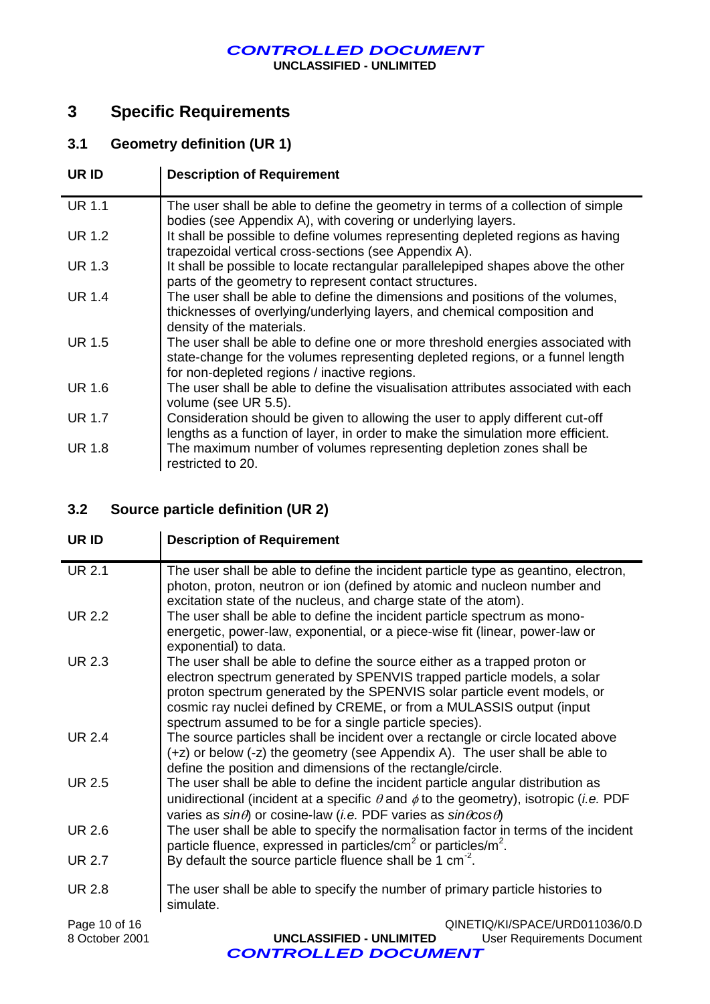**UNCLASSIFIED - UNLIMITED**

# **3 Specific Requirements**

## **3.1 Geometry definition (UR 1)**

| UR ID         | <b>Description of Requirement</b>                                                                                                                                                                                 |
|---------------|-------------------------------------------------------------------------------------------------------------------------------------------------------------------------------------------------------------------|
| <b>UR 1.1</b> | The user shall be able to define the geometry in terms of a collection of simple<br>bodies (see Appendix A), with covering or underlying layers.                                                                  |
| <b>UR 1.2</b> | It shall be possible to define volumes representing depleted regions as having<br>trapezoidal vertical cross-sections (see Appendix A).                                                                           |
| UR 1.3        | It shall be possible to locate rectangular parallelepiped shapes above the other<br>parts of the geometry to represent contact structures.                                                                        |
| UR 1.4        | The user shall be able to define the dimensions and positions of the volumes,<br>thicknesses of overlying/underlying layers, and chemical composition and<br>density of the materials.                            |
| UR 1.5        | The user shall be able to define one or more threshold energies associated with<br>state-change for the volumes representing depleted regions, or a funnel length<br>for non-depleted regions / inactive regions. |
| <b>UR 1.6</b> | The user shall be able to define the visualisation attributes associated with each<br>volume (see UR 5.5).                                                                                                        |
| UR 1.7        | Consideration should be given to allowing the user to apply different cut-off<br>lengths as a function of layer, in order to make the simulation more efficient.                                                  |
| <b>UR 1.8</b> | The maximum number of volumes representing depletion zones shall be<br>restricted to 20.                                                                                                                          |

## **3.2 Source particle definition (UR 2)**

| UR ID         | <b>Description of Requirement</b>                                                                                                                                                                                                                                                                                                                                  |
|---------------|--------------------------------------------------------------------------------------------------------------------------------------------------------------------------------------------------------------------------------------------------------------------------------------------------------------------------------------------------------------------|
| <b>UR 2.1</b> | The user shall be able to define the incident particle type as geantino, electron,<br>photon, proton, neutron or ion (defined by atomic and nucleon number and<br>excitation state of the nucleus, and charge state of the atom).                                                                                                                                  |
| UR 2.2        | The user shall be able to define the incident particle spectrum as mono-<br>energetic, power-law, exponential, or a piece-wise fit (linear, power-law or<br>exponential) to data.                                                                                                                                                                                  |
| <b>UR 2.3</b> | The user shall be able to define the source either as a trapped proton or<br>electron spectrum generated by SPENVIS trapped particle models, a solar<br>proton spectrum generated by the SPENVIS solar particle event models, or<br>cosmic ray nuclei defined by CREME, or from a MULASSIS output (input<br>spectrum assumed to be for a single particle species). |
| <b>UR 2.4</b> | The source particles shall be incident over a rectangle or circle located above<br>(+z) or below (-z) the geometry (see Appendix A). The user shall be able to<br>define the position and dimensions of the rectangle/circle.                                                                                                                                      |
| <b>UR 2.5</b> | The user shall be able to define the incident particle angular distribution as<br>unidirectional (incident at a specific $\theta$ and $\phi$ to the geometry), isotropic ( <i>i.e.</i> PDF<br>varies as $sin\theta$ or cosine-law ( <i>i.e.</i> PDF varies as $sin\theta cos\theta$ )                                                                              |
| UR 2.6        | The user shall be able to specify the normalisation factor in terms of the incident<br>particle fluence, expressed in particles/ $\text{cm}^2$ or particles/ $\text{m}^2$ .                                                                                                                                                                                        |
| UR 2.7        | By default the source particle fluence shall be 1 $cm-2$ .                                                                                                                                                                                                                                                                                                         |
| UR 2.8        | The user shall be able to specify the number of primary particle histories to<br>simulate.                                                                                                                                                                                                                                                                         |
| Page 10 of 16 | QINETIQ/KI/SPACE/URD011036/0.D                                                                                                                                                                                                                                                                                                                                     |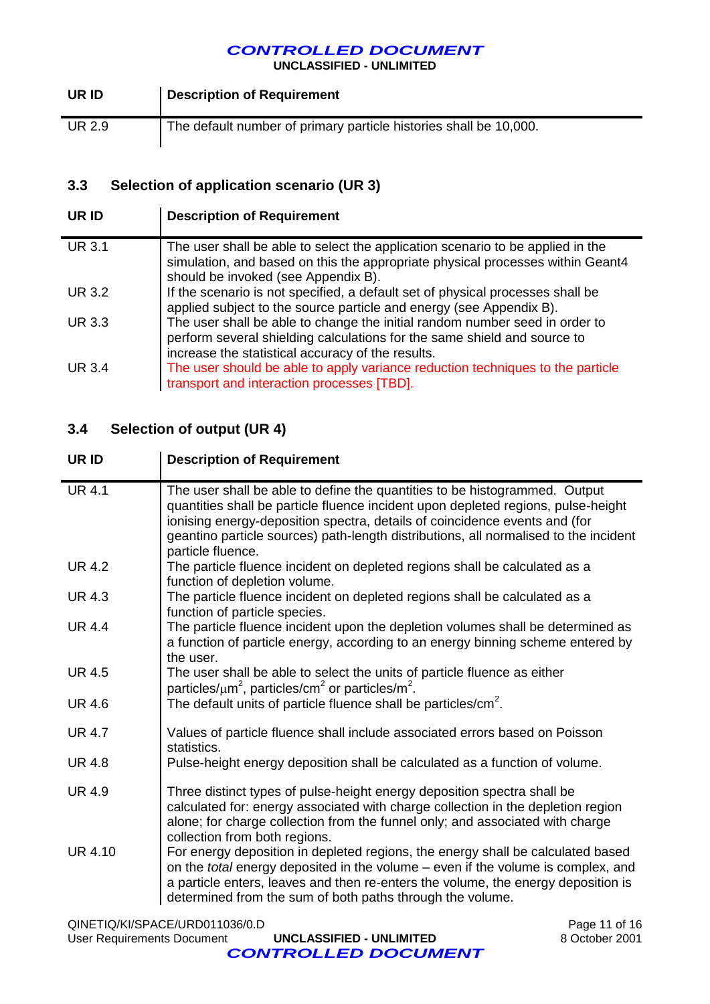**UNCLASSIFIED - UNLIMITED**

| UR ID  | Description of Requirement                                        |
|--------|-------------------------------------------------------------------|
| UR 2.9 | The default number of primary particle histories shall be 10,000. |

## **3.3 Selection of application scenario (UR 3)**

| UR ID         | <b>Description of Requirement</b>                                                                                                                                                                            |
|---------------|--------------------------------------------------------------------------------------------------------------------------------------------------------------------------------------------------------------|
| <b>UR 3.1</b> | The user shall be able to select the application scenario to be applied in the<br>simulation, and based on this the appropriate physical processes within Geant4<br>should be invoked (see Appendix B).      |
| <b>UR 3.2</b> | If the scenario is not specified, a default set of physical processes shall be<br>applied subject to the source particle and energy (see Appendix B).                                                        |
| <b>UR 3.3</b> | The user shall be able to change the initial random number seed in order to<br>perform several shielding calculations for the same shield and source to<br>increase the statistical accuracy of the results. |
| <b>UR 3.4</b> | The user should be able to apply variance reduction techniques to the particle<br>transport and interaction processes [TBD].                                                                                 |

## **3.4 Selection of output (UR 4)**

| UR ID          | <b>Description of Requirement</b>                                                                                                                                                                                                                                                                                                                          |
|----------------|------------------------------------------------------------------------------------------------------------------------------------------------------------------------------------------------------------------------------------------------------------------------------------------------------------------------------------------------------------|
| <b>UR 4.1</b>  | The user shall be able to define the quantities to be histogrammed. Output<br>quantities shall be particle fluence incident upon depleted regions, pulse-height<br>ionising energy-deposition spectra, details of coincidence events and (for<br>geantino particle sources) path-length distributions, all normalised to the incident<br>particle fluence. |
| <b>UR 4.2</b>  | The particle fluence incident on depleted regions shall be calculated as a<br>function of depletion volume.                                                                                                                                                                                                                                                |
| <b>UR 4.3</b>  | The particle fluence incident on depleted regions shall be calculated as a<br>function of particle species.                                                                                                                                                                                                                                                |
| UR 4.4         | The particle fluence incident upon the depletion volumes shall be determined as<br>a function of particle energy, according to an energy binning scheme entered by<br>the user.                                                                                                                                                                            |
| <b>UR 4.5</b>  | The user shall be able to select the units of particle fluence as either<br>particles/ $\mu$ m <sup>2</sup> , particles/cm <sup>2</sup> or particles/m <sup>2</sup> .                                                                                                                                                                                      |
| UR 4.6         | The default units of particle fluence shall be particles/cm <sup>2</sup> .                                                                                                                                                                                                                                                                                 |
| <b>UR 4.7</b>  | Values of particle fluence shall include associated errors based on Poisson<br>statistics.                                                                                                                                                                                                                                                                 |
| <b>UR 4.8</b>  | Pulse-height energy deposition shall be calculated as a function of volume.                                                                                                                                                                                                                                                                                |
| <b>UR 4.9</b>  | Three distinct types of pulse-height energy deposition spectra shall be<br>calculated for: energy associated with charge collection in the depletion region<br>alone; for charge collection from the funnel only; and associated with charge<br>collection from both regions.                                                                              |
| <b>UR 4.10</b> | For energy deposition in depleted regions, the energy shall be calculated based<br>on the total energy deposited in the volume - even if the volume is complex, and<br>a particle enters, leaves and then re-enters the volume, the energy deposition is<br>determined from the sum of both paths through the volume.                                      |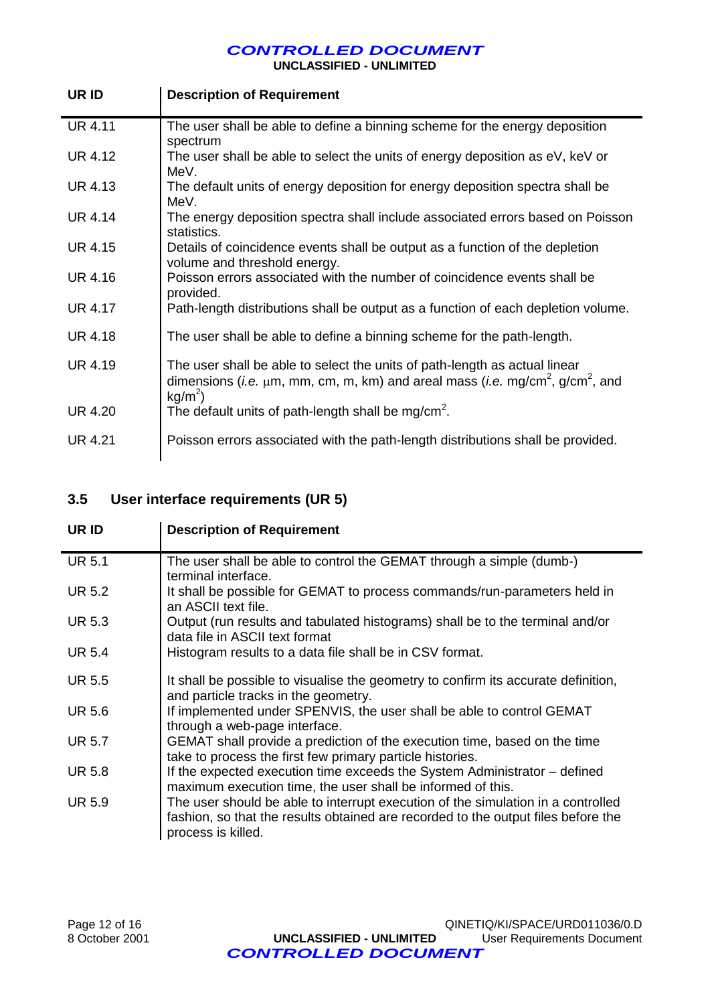**UNCLASSIFIED - UNLIMITED**

| UR ID          | <b>Description of Requirement</b>                                                                                                                                                                     |
|----------------|-------------------------------------------------------------------------------------------------------------------------------------------------------------------------------------------------------|
| <b>UR 4.11</b> | The user shall be able to define a binning scheme for the energy deposition<br>spectrum                                                                                                               |
| UR 4.12        | The user shall be able to select the units of energy deposition as eV, keV or<br>MeV.                                                                                                                 |
| <b>UR 4.13</b> | The default units of energy deposition for energy deposition spectra shall be<br>MeV.                                                                                                                 |
| <b>UR 4.14</b> | The energy deposition spectra shall include associated errors based on Poisson<br>statistics.                                                                                                         |
| <b>UR 4.15</b> | Details of coincidence events shall be output as a function of the depletion<br>volume and threshold energy.                                                                                          |
| <b>UR 4.16</b> | Poisson errors associated with the number of coincidence events shall be<br>provided.                                                                                                                 |
| <b>UR 4.17</b> | Path-length distributions shall be output as a function of each depletion volume.                                                                                                                     |
| <b>UR 4.18</b> | The user shall be able to define a binning scheme for the path-length.                                                                                                                                |
| <b>UR 4.19</b> | The user shall be able to select the units of path-length as actual linear<br>dimensions (i.e. $\mu$ m, mm, cm, m, km) and areal mass (i.e. mg/cm <sup>2</sup> , g/cm <sup>2</sup> , and<br>$kg/m2$ ) |
| <b>UR 4.20</b> | The default units of path-length shall be mg/cm <sup>2</sup> .                                                                                                                                        |
| <b>UR 4.21</b> | Poisson errors associated with the path-length distributions shall be provided.                                                                                                                       |

## **3.5 User interface requirements (UR 5)**

| UR ID         | <b>Description of Requirement</b>                                                                                                                                                           |  |  |
|---------------|---------------------------------------------------------------------------------------------------------------------------------------------------------------------------------------------|--|--|
| <b>UR 5.1</b> | The user shall be able to control the GEMAT through a simple (dumb-)<br>terminal interface.                                                                                                 |  |  |
| <b>UR 5.2</b> | It shall be possible for GEMAT to process commands/run-parameters held in<br>an ASCII text file.                                                                                            |  |  |
| <b>UR 5.3</b> | Output (run results and tabulated histograms) shall be to the terminal and/or<br>data file in ASCII text format                                                                             |  |  |
| <b>UR 5.4</b> | Histogram results to a data file shall be in CSV format.                                                                                                                                    |  |  |
| <b>UR 5.5</b> | It shall be possible to visualise the geometry to confirm its accurate definition,<br>and particle tracks in the geometry.                                                                  |  |  |
| UR 5.6        | If implemented under SPENVIS, the user shall be able to control GEMAT<br>through a web-page interface.                                                                                      |  |  |
| UR 5.7        | GEMAT shall provide a prediction of the execution time, based on the time<br>take to process the first few primary particle histories.                                                      |  |  |
| UR 5.8        | If the expected execution time exceeds the System Administrator - defined<br>maximum execution time, the user shall be informed of this.                                                    |  |  |
| <b>UR 5.9</b> | The user should be able to interrupt execution of the simulation in a controlled<br>fashion, so that the results obtained are recorded to the output files before the<br>process is killed. |  |  |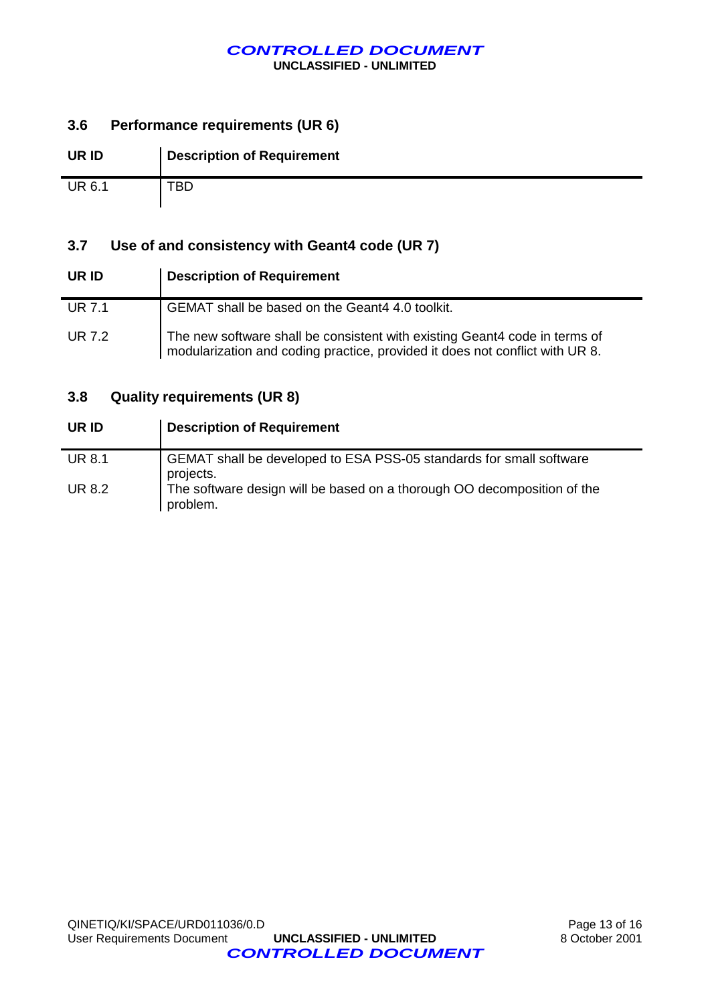**UNCLASSIFIED - UNLIMITED**

#### **3.6 Performance requirements (UR 6)**

| UR ID         | <b>Description of Requirement</b> |
|---------------|-----------------------------------|
| <b>UR 6.1</b> | <b>TBD</b>                        |

#### **3.7 Use of and consistency with Geant4 code (UR 7)**

| UR ID         | <b>Description of Requirement</b>                                                                                                                          |  |  |
|---------------|------------------------------------------------------------------------------------------------------------------------------------------------------------|--|--|
| <b>UR 7.1</b> | GEMAT shall be based on the Geant4 4.0 toolkit.                                                                                                            |  |  |
| UR 7.2        | The new software shall be consistent with existing Geant4 code in terms of<br>modularization and coding practice, provided it does not conflict with UR 8. |  |  |

#### **3.8 Quality requirements (UR 8)**

| UR ID         | <b>Description of Requirement</b>                                                   |
|---------------|-------------------------------------------------------------------------------------|
| <b>UR 8.1</b> | GEMAT shall be developed to ESA PSS-05 standards for small software<br>projects.    |
| <b>UR 8.2</b> | The software design will be based on a thorough OO decomposition of the<br>problem. |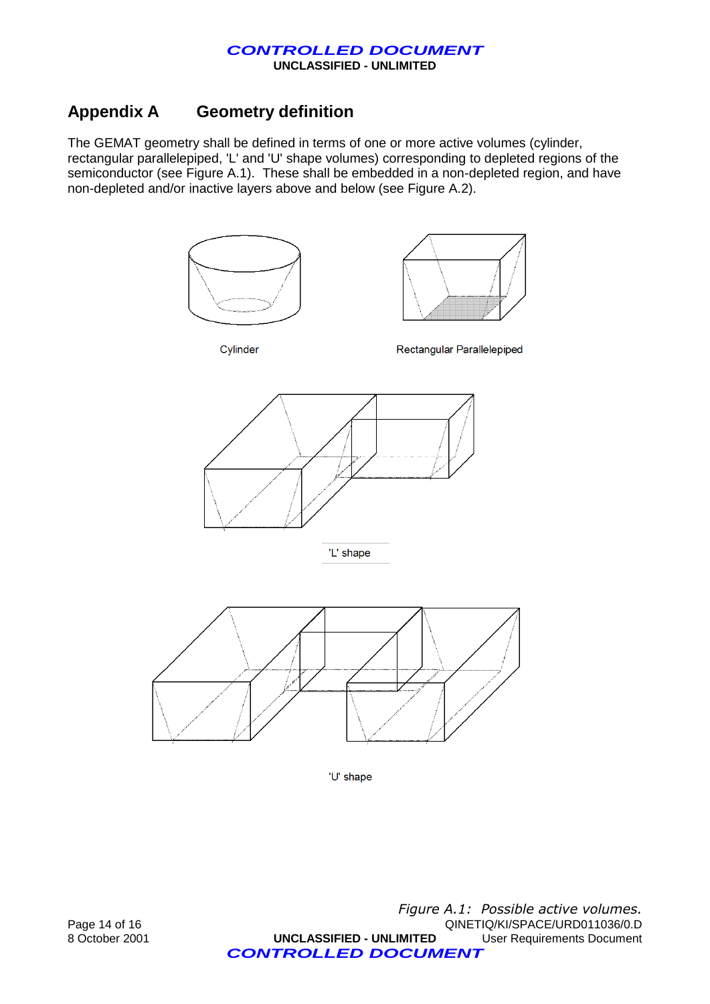## **Appendix A Geometry definition**

The GEMAT geometry shall be defined in terms of one or more active volumes (cylinder, rectangular parallelepiped, 'L' and 'U' shape volumes) corresponding to depleted regions of the semiconductor (see Figure A.1). These shall be embedded in a non-depleted region, and have non-depleted and/or inactive layers above and below (see Figure A.2).



'U' shape

Page 14 of 16<br>
B October 2001 **CINELASSIFIED - UNLIMITED** QINETIQ/KI/SPACE/URD011036/0.D<br> **UNCLASSIFIED - UNLIMITED** User Requirements Document 8 October 2001 **UNCLASSIFIED - UNLIMITED** User Requirements Document *CONTROLLED DOCUMENT Figure A.1: Possible active volumes.*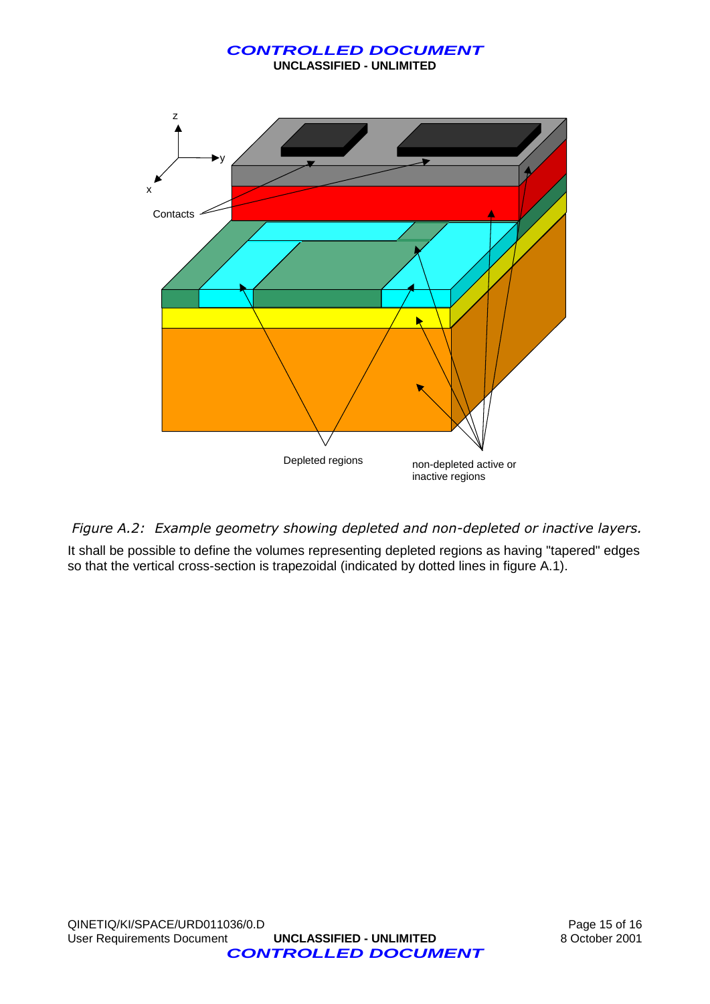**UNCLASSIFIED - UNLIMITED**



*Figure A.2: Example geometry showing depleted and non-depleted or inactive layers.*

It shall be possible to define the volumes representing depleted regions as having "tapered" edges so that the vertical cross-section is trapezoidal (indicated by dotted lines in figure A.1).